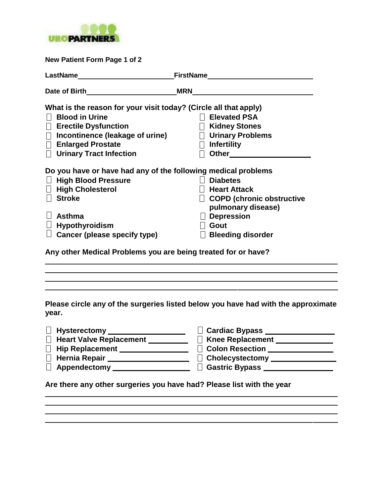

| New Patient Form Page 1 of 2                                     |                                  |  |  |  |
|------------------------------------------------------------------|----------------------------------|--|--|--|
|                                                                  |                                  |  |  |  |
|                                                                  |                                  |  |  |  |
| What is the reason for your visit today? (Circle all that apply) |                                  |  |  |  |
| <b>Blood in Urine</b>                                            | <b>Elevated PSA</b>              |  |  |  |
| $\Box$ Erectile Dysfunction                                      | □ Kidney Stones                  |  |  |  |
| $\Box$ Incontinence (leakage of urine)                           | $\Box$ Urinary Problems          |  |  |  |
| $\Box$ Enlarged Prostate                                         | $\Box$ Infertility               |  |  |  |
| <b>Urinary Tract Infection</b>                                   | Other____________                |  |  |  |
| Do you have or have had any of the following medical problems    |                                  |  |  |  |
| <b>High Blood Pressure</b>                                       | <b>Diabetes</b>                  |  |  |  |
| $\Box$ High Cholesterol                                          | <b>Heart Attack</b>              |  |  |  |
| <b>Stroke</b>                                                    | <b>COPD (chronic obstructive</b> |  |  |  |
|                                                                  | pulmonary disease)               |  |  |  |
| <b>Asthma</b>                                                    | $\Box$ Depression                |  |  |  |
| $\Box$ Hypothyroidism                                            | Gout                             |  |  |  |
| <b>Cancer (please specify type)</b>                              | $\Box$ Bleeding disorder         |  |  |  |
| Any other Medical Problems you are being treated for or have?    |                                  |  |  |  |

**Please circle any of the surgeries listed below you have had with the approximate year.**

the control of the control of the control of the control of the control of the control of the control of the control of the control of the control of the control of the control of the control of the control of the control

<u> 1989 - Johann Stoff, amerikansk politiker (\* 1908)</u>

| $\Box$ Cardiac Bypass $\_$ |
|----------------------------|
| Knee Replacement _______   |
| <b>Colon Resection</b>     |
| Cholecystectomy _______    |
| Gastric Bypass _________   |
|                            |

and the control of the control of the control of the control of the control of the control of the control of the

**Are there any other surgeries you have had? Please list with the year**